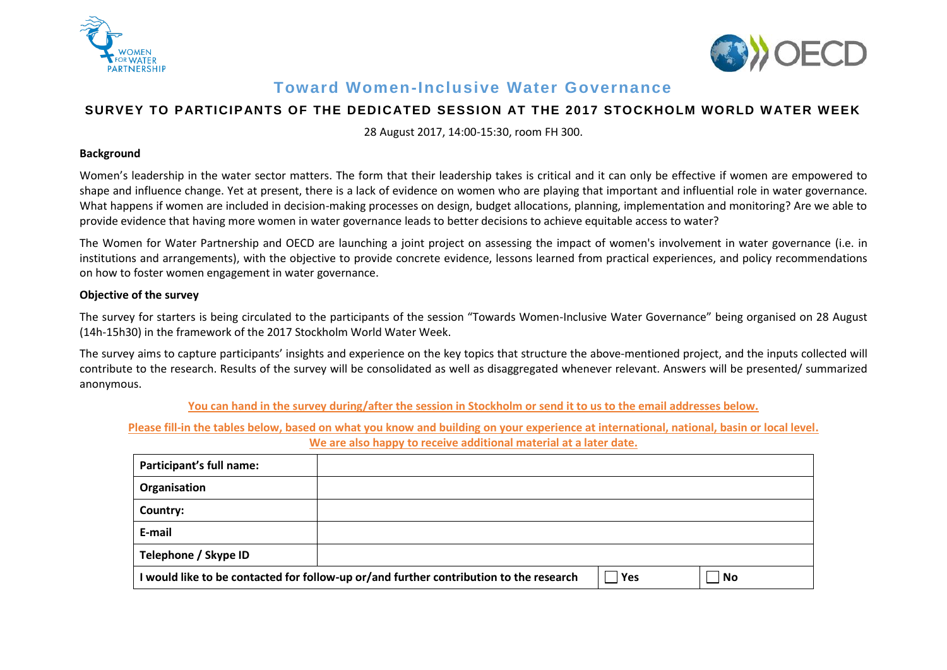



## **Toward Women-Inclusive Water Governance**

## **SURVEY TO PARTICIPANTS OF THE DEDICATED SESSION AT THE 2017 STOCKHOLM WORLD WATER WEEK**

28 August 2017, 14:00-15:30, room FH 300.

## **Background**

Women's leadership in the water sector matters. The form that their leadership takes is critical and it can only be effective if women are empowered to shape and influence change. Yet at present, there is a lack of evidence on women who are playing that important and influential role in water governance. What happens if women are included in decision-making processes on design, budget allocations, planning, implementation and monitoring? Are we able to provide evidence that having more women in water governance leads to better decisions to achieve equitable access to water?

The Women for Water Partnership and OECD are launching a joint project on assessing the impact of women's involvement in water governance (i.e. in institutions and arrangements), with the objective to provide concrete evidence, lessons learned from practical experiences, and policy recommendations on how to foster women engagement in water governance.

## **Objective of the survey**

The survey for starters is being circulated to the participants of the session "Towards Women-Inclusive Water Governance" being organised on 28 August (14h-15h30) in the framework of the 2017 Stockholm World Water Week.

The survey aims to capture participants' insights and experience on the key topics that structure the above-mentioned project, and the inputs collected will contribute to the research. Results of the survey will be consolidated as well as disaggregated whenever relevant. Answers will be presented/ summarized anonymous.

**You can hand in the survey during/after the session in Stockholm or send it to us to the email addresses below.**

**Please fill-in the tables below, based on what you know and building on your experience at international, national, basin or local level.**

**We are also happy to receive additional material at a later date.**

| Participant's full name:                                                               |  |     |                             |
|----------------------------------------------------------------------------------------|--|-----|-----------------------------|
| Organisation                                                                           |  |     |                             |
| Country:                                                                               |  |     |                             |
| E-mail                                                                                 |  |     |                             |
| Telephone / Skype ID                                                                   |  |     |                             |
| I would like to be contacted for follow-up or/and further contribution to the research |  | Yes | $\overline{\phantom{a}}$ No |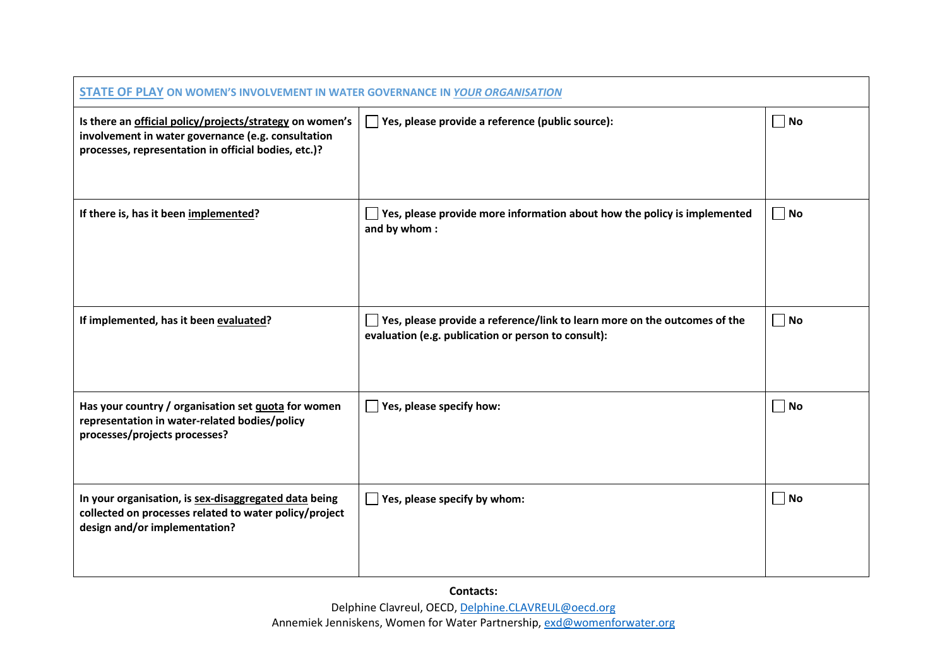| STATE OF PLAY ON WOMEN'S INVOLVEMENT IN WATER GOVERNANCE IN YOUR ORGANISATION                                                                                          |                                                                                                                                  |                             |
|------------------------------------------------------------------------------------------------------------------------------------------------------------------------|----------------------------------------------------------------------------------------------------------------------------------|-----------------------------|
| Is there an official policy/projects/strategy on women's<br>involvement in water governance (e.g. consultation<br>processes, representation in official bodies, etc.)? | $\Box$ Yes, please provide a reference (public source):                                                                          | $\overline{\phantom{a}}$ No |
| If there is, has it been implemented?                                                                                                                                  | Yes, please provide more information about how the policy is implemented<br>and by whom:                                         | $\Box$ No                   |
| If implemented, has it been evaluated?                                                                                                                                 | Yes, please provide a reference/link to learn more on the outcomes of the<br>evaluation (e.g. publication or person to consult): | No.                         |
| Has your country / organisation set guota for women<br>representation in water-related bodies/policy<br>processes/projects processes?                                  | $\Box$ Yes, please specify how:                                                                                                  | $\Box$ No                   |
| In your organisation, is sex-disaggregated data being<br>collected on processes related to water policy/project<br>design and/or implementation?                       | $\blacksquare$ Yes, please specify by whom:                                                                                      | No                          |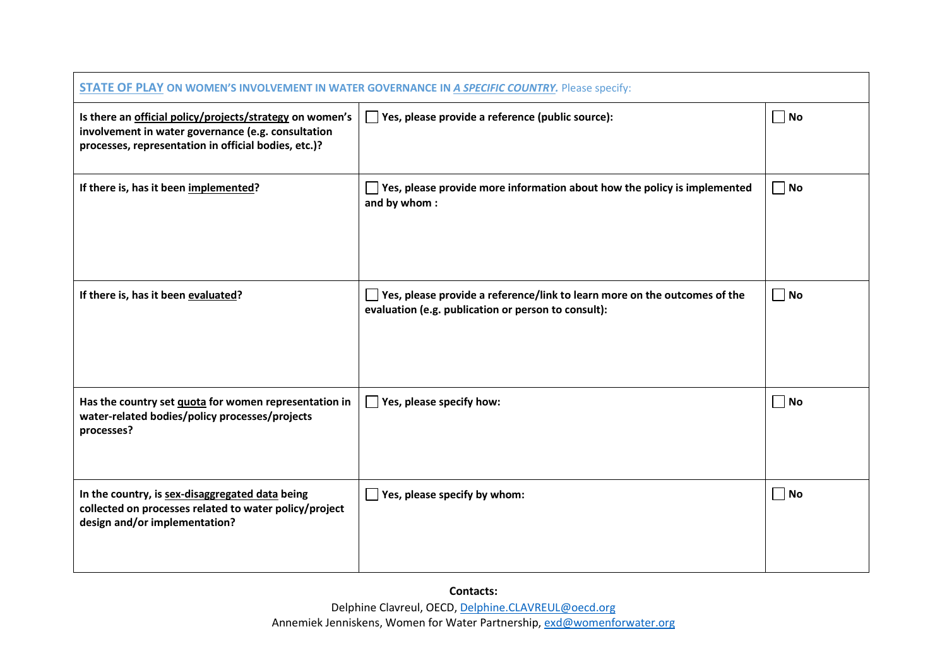| <b>STATE OF PLAY ON WOMEN'S INVOLVEMENT IN WATER GOVERNANCE IN A SPECIFIC COUNTRY.</b> Please specify:                                                                 |                                                                                                                                         |                   |
|------------------------------------------------------------------------------------------------------------------------------------------------------------------------|-----------------------------------------------------------------------------------------------------------------------------------------|-------------------|
| Is there an official policy/projects/strategy on women's<br>involvement in water governance (e.g. consultation<br>processes, representation in official bodies, etc.)? | $\Box$ Yes, please provide a reference (public source):                                                                                 | $\Box$ No         |
| If there is, has it been implemented?                                                                                                                                  | $\Box$ Yes, please provide more information about how the policy is implemented<br>and by whom:                                         | $\blacksquare$ No |
| If there is, has it been evaluated?                                                                                                                                    | $\Box$ Yes, please provide a reference/link to learn more on the outcomes of the<br>evaluation (e.g. publication or person to consult): | No.               |
| Has the country set quota for women representation in<br>water-related bodies/policy processes/projects<br>processes?                                                  | $\Box$ Yes, please specify how:                                                                                                         | No.               |
| In the country, is sex-disaggregated data being<br>collected on processes related to water policy/project<br>design and/or implementation?                             | $\Box$ Yes, please specify by whom:                                                                                                     | $\Box$ No         |